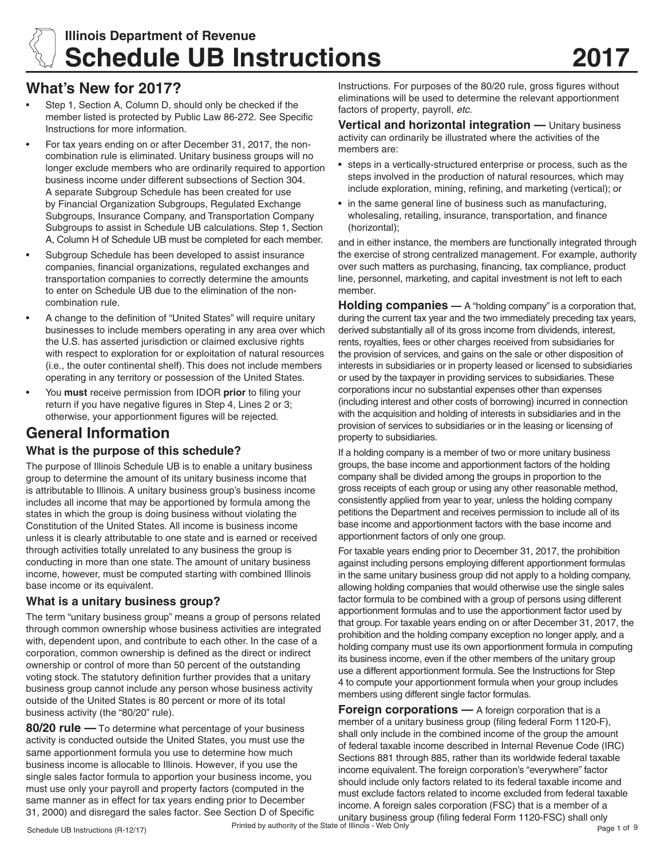

# **Illinois Department of Revenue Schedule UB Instructions 2017**

# **What's New for 2017?**

- Step 1, Section A, Column D, should only be checked if the member listed is protected by Public Law 86-272. See Specific Instructions for more information.
- For tax years ending on or after December 31, 2017, the noncombination rule is eliminated. Unitary business groups will no longer exclude members who are ordinarily required to apportion business income under different subsections of Section 304. A separate Subgroup Schedule has been created for use by Financial Organization Subgroups, Regulated Exchange Subgroups, Insurance Company, and Transportation Company Subgroups to assist in Schedule UB calculations. Step 1, Section A, Column H of Schedule UB must be completed for each member.
- Subgroup Schedule has been developed to assist insurance companies, financial organizations, regulated exchanges and transportation companies to correctly determine the amounts to enter on Schedule UB due to the elimination of the noncombination rule.
- A change to the definition of "United States" will require unitary businesses to include members operating in any area over which the U.S. has asserted jurisdiction or claimed exclusive rights with respect to exploration for or exploitation of natural resources (i.e., the outer continental shelf). This does not include members operating in any territory or possession of the United States.
- You **must** receive permission from IDOR prior to filing your return if you have negative figures in Step 4, Lines 2 or 3; otherwise, your apportionment figures will be rejected.

# **General Information**

# **What is the purpose of this schedule?**

The purpose of Illinois Schedule UB is to enable a unitary business group to determine the amount of its unitary business income that is attributable to Illinois. A unitary business group's business income includes all income that may be apportioned by formula among the states in which the group is doing business without violating the Constitution of the United States. All income is business income unless it is clearly attributable to one state and is earned or received through activities totally unrelated to any business the group is conducting in more than one state. The amount of unitary business income, however, must be computed starting with combined Illinois base income or its equivalent.

# **What is a unitary business group?**

The term "unitary business group" means a group of persons related through common ownership whose business activities are integrated with, dependent upon, and contribute to each other. In the case of a corporation, common ownership is defined as the direct or indirect ownership or control of more than 50 percent of the outstanding voting stock. The statutory definition further provides that a unitary business group cannot include any person whose business activity outside of the United States is 80 percent or more of its total business activity (the "80/20" rule).

**80/20 rule —** To determine what percentage of your business activity is conducted outside the United States, you must use the same apportionment formula you use to determine how much business income is allocable to Illinois. However, if you use the single sales factor formula to apportion your business income, you must use only your payroll and property factors (computed in the same manner as in effect for tax years ending prior to December 31, 2000) and disregard the sales factor. See Section D of Specific Instructions. For purposes of the 80/20 rule, gross figures without eliminations will be used to determine the relevant apportionment factors of property, payroll, *etc.*

**Vertical and horizontal integration —** Unitary business activity can ordinarily be illustrated where the activities of the members are:

- steps in a vertically-structured enterprise or process, such as the steps involved in the production of natural resources, which may include exploration, mining, refining, and marketing (vertical); or
- in the same general line of business such as manufacturing, wholesaling, retailing, insurance, transportation, and finance (horizontal);

and in either instance, the members are functionally integrated through the exercise of strong centralized management. For example, authority over such matters as purchasing, financing, tax compliance, product line, personnel, marketing, and capital investment is not left to each member.

**Holding companies** — A "holding company" is a corporation that, during the current tax year and the two immediately preceding tax years, derived substantially all of its gross income from dividends, interest, rents, royalties, fees or other charges received from subsidiaries for the provision of services, and gains on the sale or other disposition of interests in subsidiaries or in property leased or licensed to subsidiaries or used by the taxpayer in providing services to subsidiaries. These corporations incur no substantial expenses other than expenses (including interest and other costs of borrowing) incurred in connection with the acquisition and holding of interests in subsidiaries and in the provision of services to subsidiaries or in the leasing or licensing of property to subsidiaries.

If a holding company is a member of two or more unitary business groups, the base income and apportionment factors of the holding company shall be divided among the groups in proportion to the gross receipts of each group or using any other reasonable method, consistently applied from year to year, unless the holding company petitions the Department and receives permission to include all of its base income and apportionment factors with the base income and apportionment factors of only one group.

For taxable years ending prior to December 31, 2017, the prohibition against including persons employing different apportionment formulas in the same unitary business group did not apply to a holding company, allowing holding companies that would otherwise use the single sales factor formula to be combined with a group of persons using different apportionment formulas and to use the apportionment factor used by that group. For taxable years ending on or after December 31, 2017, the prohibition and the holding company exception no longer apply, and a holding company must use its own apportionment formula in computing its business income, even if the other members of the unitary group use a different apportionment formula. See the Instructions for Step 4 to compute your apportionment formula when your group includes members using different single factor formulas.

**Foreign corporations** - A foreign corporation that is a member of a unitary business group (filing federal Form 1120-F), shall only include in the combined income of the group the amount of federal taxable income described in Internal Revenue Code (IRC) Sections 881 through 885, rather than its worldwide federal taxable income equivalent. The foreign corporation's "everywhere" factor should include only factors related to its federal taxable income and must exclude factors related to income excluded from federal taxable income. A foreign sales corporation (FSC) that is a member of a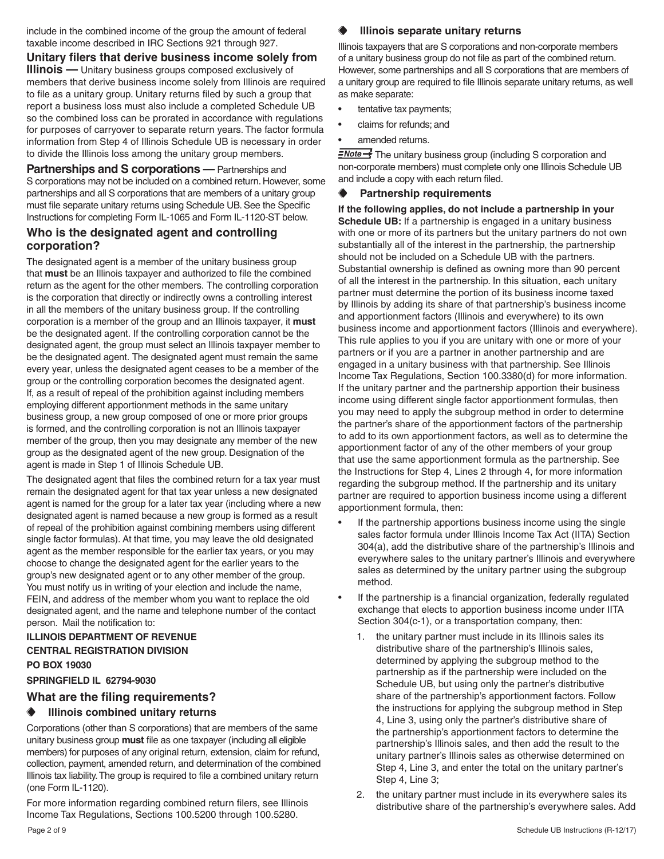include in the combined income of the group the amount of federal taxable income described in IRC Sections 921 through 927.

**Unitary filers that derive business income solely from Illinois** — Unitary business groups composed exclusively of members that derive business income solely from Illinois are required to file as a unitary group. Unitary returns filed by such a group that report a business loss must also include a completed Schedule UB so the combined loss can be prorated in accordance with regulations for purposes of carryover to separate return years. The factor formula information from Step 4 of Illinois Schedule UB is necessary in order to divide the Illinois loss among the unitary group members.

**Partnerships and S corporations** — Partnerships and S corporations may not be included on a combined return. However, some partnerships and all S corporations that are members of a unitary group must file separate unitary returns using Schedule UB. See the Specific Instructions for completing Form IL-1065 and Form IL-1120-ST below.

### **Who is the designated agent and controlling corporation?**

The designated agent is a member of the unitary business group that **must** be an Illinois taxpayer and authorized to file the combined return as the agent for the other members. The controlling corporation is the corporation that directly or indirectly owns a controlling interest in all the members of the unitary business group. If the controlling corporation is a member of the group and an Illinois taxpayer, it **must** be the designated agent. If the controlling corporation cannot be the designated agent, the group must select an Illinois taxpayer member to be the designated agent. The designated agent must remain the same every year, unless the designated agent ceases to be a member of the group or the controlling corporation becomes the designated agent. If, as a result of repeal of the prohibition against including members employing different apportionment methods in the same unitary business group, a new group composed of one or more prior groups is formed, and the controlling corporation is not an Illinois taxpayer member of the group, then you may designate any member of the new group as the designated agent of the new group. Designation of the agent is made in Step 1 of Illinois Schedule UB.

The designated agent that files the combined return for a tax year must remain the designated agent for that tax year unless a new designated agent is named for the group for a later tax year (including where a new designated agent is named because a new group is formed as a result of repeal of the prohibition against combining members using different single factor formulas). At that time, you may leave the old designated agent as the member responsible for the earlier tax years, or you may choose to change the designated agent for the earlier years to the group's new designated agent or to any other member of the group. You must notify us in writing of your election and include the name, FEIN, and address of the member whom you want to replace the old designated agent, and the name and telephone number of the contact person. Mail the notification to:

#### **ILLINOIS DEPARTMENT OF REVENUE**

#### **CENTRAL REGISTRATION DIVISION PO BOX 19030**

# **SPRINGFIELD IL 62794-9030**

# **What are the filing requirements?**

#### **Illinois combined unitary returns**

Corporations (other than S corporations) that are members of the same unitary business group **must** file as one taxpayer (including all eligible members) for purposes of any original return, extension, claim for refund, collection, payment, amended return, and determination of the combined Illinois tax liability. The group is required to file a combined unitary return (one Form IL-1120).

For more information regarding combined return filers, see Illinois Income Tax Regulations, Sections 100.5200 through 100.5280.

#### **Illinois separate unitary returns**

Illinois taxpayers that are S corporations and non-corporate members of a unitary business group do not file as part of the combined return. However, some partnerships and all S corporations that are members of a unitary group are required to file Illinois separate unitary returns, as well as make separate:

- tentative tax payments;
- claims for refunds; and
- amended returns.

**ENote** The unitary business group (including S corporation and non-corporate members) must complete only one Illinois Schedule UB and include a copy with each return filed.

#### **Partnership requirements**

**If the following applies, do not include a partnership in your Schedule UB:** If a partnership is engaged in a unitary business with one or more of its partners but the unitary partners do not own substantially all of the interest in the partnership, the partnership should not be included on a Schedule UB with the partners. Substantial ownership is defined as owning more than 90 percent of all the interest in the partnership. In this situation, each unitary partner must determine the portion of its business income taxed by Illinois by adding its share of that partnership's business income and apportionment factors (Illinois and everywhere) to its own business income and apportionment factors (Illinois and everywhere). This rule applies to you if you are unitary with one or more of your partners or if you are a partner in another partnership and are engaged in a unitary business with that partnership. See Illinois Income Tax Regulations, Section 100.3380(d) for more information. If the unitary partner and the partnership apportion their business income using different single factor apportionment formulas, then you may need to apply the subgroup method in order to determine the partner's share of the apportionment factors of the partnership to add to its own apportionment factors, as well as to determine the apportionment factor of any of the other members of your group that use the same apportionment formula as the partnership. See the Instructions for Step 4, Lines 2 through 4, for more information regarding the subgroup method. If the partnership and its unitary partner are required to apportion business income using a different apportionment formula, then:

- If the partnership apportions business income using the single sales factor formula under Illinois Income Tax Act (IITA) Section 304(a), add the distributive share of the partnership's Illinois and everywhere sales to the unitary partner's Illinois and everywhere sales as determined by the unitary partner using the subgroup method.
- If the partnership is a financial organization, federally regulated exchange that elects to apportion business income under IITA Section 304(c-1), or a transportation company, then:
	- 1. the unitary partner must include in its Illinois sales its distributive share of the partnership's Illinois sales, determined by applying the subgroup method to the partnership as if the partnership were included on the Schedule UB, but using only the partner's distributive share of the partnership's apportionment factors. Follow the instructions for applying the subgroup method in Step 4, Line 3, using only the partner's distributive share of the partnership's apportionment factors to determine the partnership's Illinois sales, and then add the result to the unitary partner's Illinois sales as otherwise determined on Step 4, Line 3, and enter the total on the unitary partner's Step 4, Line 3;
	- 2. the unitary partner must include in its everywhere sales its distributive share of the partnership's everywhere sales. Add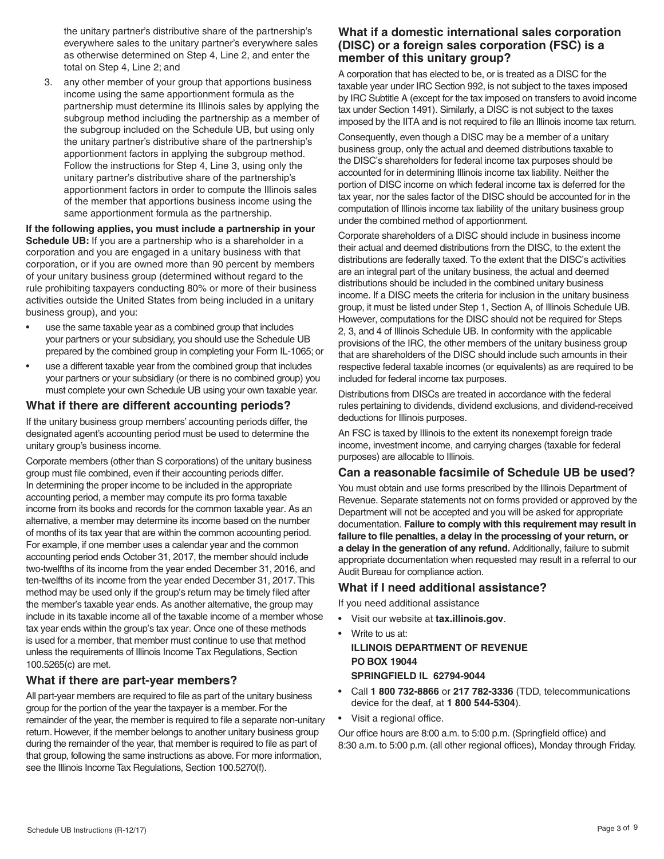the unitary partner's distributive share of the partnership's everywhere sales to the unitary partner's everywhere sales as otherwise determined on Step 4, Line 2, and enter the total on Step 4, Line 2; and

3. any other member of your group that apportions business income using the same apportionment formula as the partnership must determine its Illinois sales by applying the subgroup method including the partnership as a member of the subgroup included on the Schedule UB, but using only the unitary partner's distributive share of the partnership's apportionment factors in applying the subgroup method. Follow the instructions for Step 4, Line 3, using only the unitary partner's distributive share of the partnership's apportionment factors in order to compute the Illinois sales of the member that apportions business income using the same apportionment formula as the partnership.

#### **If the following applies, you must include a partnership in your Schedule UB:** If you are a partnership who is a shareholder in a corporation and you are engaged in a unitary business with that corporation, or if you are owned more than 90 percent by members of your unitary business group (determined without regard to the rule prohibiting taxpayers conducting 80% or more of their business activities outside the United States from being included in a unitary business group), and you:

- use the same taxable year as a combined group that includes your partners or your subsidiary, you should use the Schedule UB prepared by the combined group in completing your Form IL-1065; or
- use a different taxable year from the combined group that includes your partners or your subsidiary (or there is no combined group) you must complete your own Schedule UB using your own taxable year.

### **What if there are different accounting periods?**

If the unitary business group members' accounting periods differ, the designated agent's accounting period must be used to determine the unitary group's business income.

Corporate members (other than S corporations) of the unitary business group must file combined, even if their accounting periods differ. In determining the proper income to be included in the appropriate accounting period, a member may compute its pro forma taxable income from its books and records for the common taxable year. As an alternative, a member may determine its income based on the number of months of its tax year that are within the common accounting period. For example, if one member uses a calendar year and the common accounting period ends October 31, 2017, the member should include two-twelfths of its income from the year ended December 31, 2016, and ten-twelfths of its income from the year ended December 31, 2017. This method may be used only if the group's return may be timely filed after the member's taxable year ends. As another alternative, the group may include in its taxable income all of the taxable income of a member whose tax year ends within the group's tax year. Once one of these methods is used for a member, that member must continue to use that method unless the requirements of Illinois Income Tax Regulations, Section 100.5265(c) are met.

# **What if there are part-year members?**

All part-year members are required to file as part of the unitary business group for the portion of the year the taxpayer is a member. For the remainder of the year, the member is required to file a separate non-unitary return. However, if the member belongs to another unitary business group during the remainder of the year, that member is required to file as part of that group, following the same instructions as above. For more information, see the Illinois Income Tax Regulations, Section 100.5270(f).

### **What if a domestic international sales corporation (DISC) or a foreign sales corporation (FSC) is a member of this unitary group?**

A corporation that has elected to be, or is treated as a DISC for the taxable year under IRC Section 992, is not subject to the taxes imposed by IRC Subtitle A (except for the tax imposed on transfers to avoid income tax under Section 1491). Similarly, a DISC is not subject to the taxes imposed by the IITA and is not required to file an Illinois income tax return.

Consequently, even though a DISC may be a member of a unitary business group, only the actual and deemed distributions taxable to the DISC's shareholders for federal income tax purposes should be accounted for in determining Illinois income tax liability. Neither the portion of DISC income on which federal income tax is deferred for the tax year, nor the sales factor of the DISC should be accounted for in the computation of Illinois income tax liability of the unitary business group under the combined method of apportionment.

Corporate shareholders of a DISC should include in business income their actual and deemed distributions from the DISC, to the extent the distributions are federally taxed. To the extent that the DISC's activities are an integral part of the unitary business, the actual and deemed distributions should be included in the combined unitary business income. If a DISC meets the criteria for inclusion in the unitary business group, it must be listed under Step 1, Section A, of Illinois Schedule UB. However, computations for the DISC should not be required for Steps 2, 3, and 4 of Illinois Schedule UB. In conformity with the applicable provisions of the IRC, the other members of the unitary business group that are shareholders of the DISC should include such amounts in their respective federal taxable incomes (or equivalents) as are required to be included for federal income tax purposes.

Distributions from DISCs are treated in accordance with the federal rules pertaining to dividends, dividend exclusions, and dividend-received deductions for Illinois purposes.

An FSC is taxed by Illinois to the extent its nonexempt foreign trade income, investment income, and carrying charges (taxable for federal purposes) are allocable to Illinois.

# **Can a reasonable facsimile of Schedule UB be used?**

You must obtain and use forms prescribed by the Illinois Department of Revenue. Separate statements not on forms provided or approved by the Department will not be accepted and you will be asked for appropriate documentation. **Failure to comply with this requirement may result in failure to file penalties, a delay in the processing of your return, or a delay in the generation of any refund.** Additionally, failure to submit appropriate documentation when requested may result in a referral to our Audit Bureau for compliance action.

# **What if I need additional assistance?**

If you need additional assistance

- Visit our website at **tax.illinois.gov**.
- Write to us at: **ILLINOIS DEPARTMENT OF REVENUE PO BOX 19044 SPRINGFIELD IL 62794-9044**
- • Call **1 800 732-8866** or **217 782-3336** (TDD, telecommunications device for the deaf, at **1 800 544-5304**).
- • Visit a regional office.

Our office hours are 8:00 a.m. to 5:00 p.m. (Springfield office) and 8:30 a.m. to 5:00 p.m. (all other regional offices), Monday through Friday.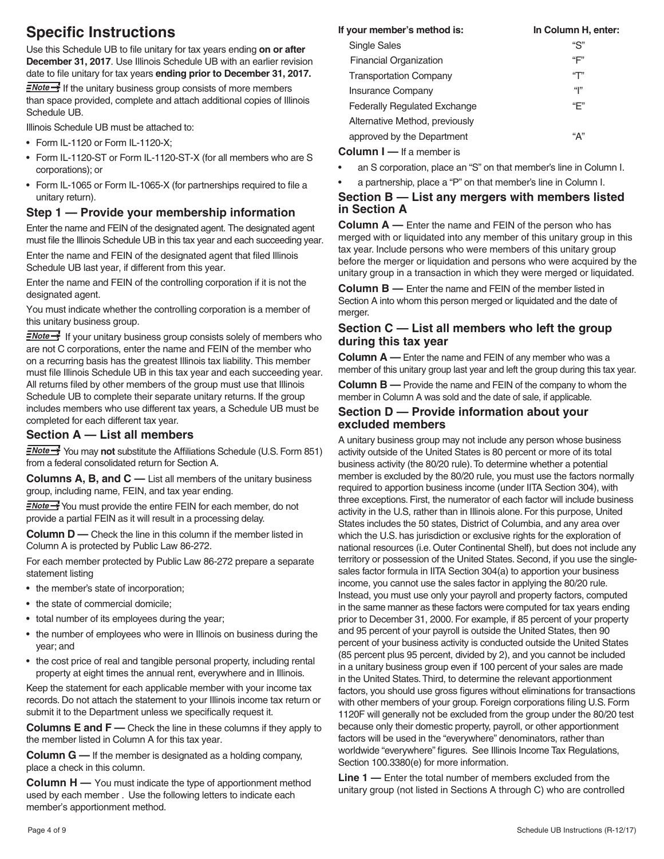# **Specific Instructions**

Use this Schedule UB to file unitary for tax years ending **on or after December 31, 2017**. Use Illinois Schedule UB with an earlier revision date to file unitary for tax years **ending prior to December 31, 2017.**

 $\frac{1}{2}$  If the unitary business group consists of more members than space provided, complete and attach additional copies of Illinois Schedule UB.

Illinois Schedule UB must be attached to:

- Form IL-1120 or Form IL-1120-X;
- Form IL-1120-ST or Form IL-1120-ST-X (for all members who are S corporations); or
- Form IL-1065 or Form IL-1065-X (for partnerships required to file a unitary return).

#### **Step 1 — Provide your membership information**

Enter the name and FEIN of the designated agent. The designated agent must file the Illinois Schedule UB in this tax year and each succeeding year.

Enter the name and FEIN of the designated agent that filed Illinois Schedule UB last year, if different from this year.

Enter the name and FEIN of the controlling corporation if it is not the designated agent.

You must indicate whether the controlling corporation is a member of this unitary business group.

 $\frac{7}{2}$  If your unitary business group consists solely of members who are not C corporations, enter the name and FEIN of the member who on a recurring basis has the greatest Illinois tax liability. This member must file Illinois Schedule UB in this tax year and each succeeding year. All returns filed by other members of the group must use that Illinois Schedule UB to complete their separate unitary returns. If the group includes members who use different tax years, a Schedule UB must be completed for each different tax year.

### **Section A — List all members**

**ENote >>>** You may not substitute the Affiliations Schedule (U.S. Form 851) from a federal consolidated return for Section A.

**Columns A, B, and C —** List all members of the unitary business group, including name, FEIN, and tax year ending.

FNote You must provide the entire FEIN for each member, do not provide a partial FEIN as it will result in a processing delay.

**Column D** — Check the line in this column if the member listed in Column A is protected by Public Law 86-272.

For each member protected by Public Law 86-272 prepare a separate statement listing

- the member's state of incorporation;
- the state of commercial domicile;
- total number of its employees during the year;
- the number of employees who were in Illinois on business during the year; and
- the cost price of real and tangible personal property, including rental property at eight times the annual rent, everywhere and in Illinois.

Keep the statement for each applicable member with your income tax records. Do not attach the statement to your Illinois income tax return or submit it to the Department unless we specifically request it.

**Columns E and F** — Check the line in these columns if they apply to the member listed in Column A for this tax year.

**Column G —** If the member is designated as a holding company, place a check in this column.

**Column H** — You must indicate the type of apportionment method used by each member . Use the following letters to indicate each member's apportionment method.

| If your member's method is:         | In Column H, enter: |
|-------------------------------------|---------------------|
| <b>Single Sales</b>                 | "S"                 |
| <b>Financial Organization</b>       | "F"                 |
| <b>Transportation Company</b>       | "T"                 |
| <b>Insurance Company</b>            | " "                 |
| <b>Federally Regulated Exchange</b> | "F"                 |
| Alternative Method, previously      |                     |
| approved by the Department          | "А"                 |
| <b>Column I</b> — If a member is    |                     |

an S corporation, place an "S" on that member's line in Column I.

a partnership, place a "P" on that member's line in Column I.

#### **Section B — List any mergers with members listed in Section A**

**Column A —** Enter the name and FEIN of the person who has merged with or liquidated into any member of this unitary group in this tax year. Include persons who were members of this unitary group before the merger or liquidation and persons who were acquired by the unitary group in a transaction in which they were merged or liquidated.

**Column B —** Enter the name and FEIN of the member listed in Section A into whom this person merged or liquidated and the date of merger.

### **Section C — List all members who left the group during this tax year**

**Column A —** Enter the name and FEIN of any member who was a member of this unitary group last year and left the group during this tax year.

**Column B —** Provide the name and FEIN of the company to whom the member in Column A was sold and the date of sale, if applicable.

#### **Section D — Provide information about your excluded members**

A unitary business group may not include any person whose business activity outside of the United States is 80 percent or more of its total business activity (the 80/20 rule). To determine whether a potential member is excluded by the 80/20 rule, you must use the factors normally required to apportion business income (under IITA Section 304), with three exceptions. First, the numerator of each factor will include business activity in the U.S, rather than in Illinois alone. For this purpose, United States includes the 50 states, District of Columbia, and any area over which the U.S. has jurisdiction or exclusive rights for the exploration of national resources (i.e. Outer Continental Shelf), but does not include any territory or possession of the United States. Second, if you use the singlesales factor formula in IITA Section 304(a) to apportion your business income, you cannot use the sales factor in applying the 80/20 rule. Instead, you must use only your payroll and property factors, computed in the same manner as these factors were computed for tax years ending prior to December 31, 2000. For example, if 85 percent of your property and 95 percent of your payroll is outside the United States, then 90 percent of your business activity is conducted outside the United States (85 percent plus 95 percent, divided by 2), and you cannot be included in a unitary business group even if 100 percent of your sales are made in the United States. Third, to determine the relevant apportionment factors, you should use gross figures without eliminations for transactions with other members of your group. Foreign corporations filing U.S. Form 1120F will generally not be excluded from the group under the 80/20 test because only their domestic property, payroll, or other apportionment factors will be used in the "everywhere" denominators, rather than worldwide "everywhere" figures. See Illinois Income Tax Regulations, Section 100.3380(e) for more information.

**Line 1 —** Enter the total number of members excluded from the unitary group (not listed in Sections A through C) who are controlled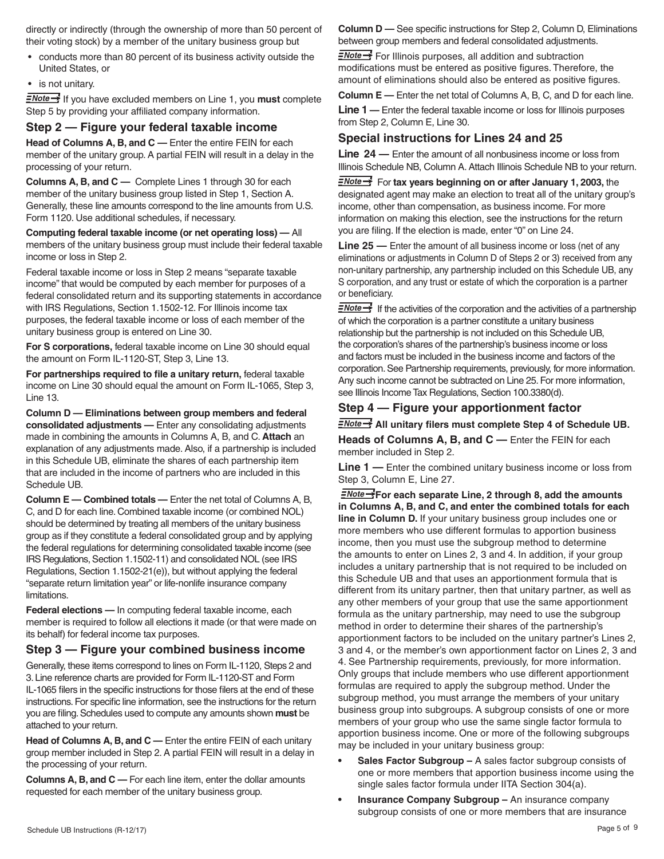directly or indirectly (through the ownership of more than 50 percent of their voting stock) by a member of the unitary business group but

- conducts more than 80 percent of its business activity outside the United States, or
- is not unitary.

 If you have excluded members on Line 1, you **must** complete Step 5 by providing your affiliated company information.

#### **Step 2 — Figure your federal taxable income**

**Head of Columns A, B, and C —** Enter the entire FEIN for each member of the unitary group. A partial FEIN will result in a delay in the processing of your return.

**Columns A, B, and C —** Complete Lines 1 through 30 for each member of the unitary business group listed in Step 1, Section A. Generally, these line amounts correspond to the line amounts from U.S. Form 1120. Use additional schedules, if necessary.

**Computing federal taxable income (or net operating loss) —** All members of the unitary business group must include their federal taxable income or loss in Step 2.

Federal taxable income or loss in Step 2 means "separate taxable income" that would be computed by each member for purposes of a federal consolidated return and its supporting statements in accordance with IRS Regulations, Section 1.1502-12. For Illinois income tax purposes, the federal taxable income or loss of each member of the unitary business group is entered on Line 30.

**For S corporations,** federal taxable income on Line 30 should equal the amount on Form IL-1120-ST, Step 3, Line 13.

**For partnerships required to file a unitary return,** federal taxable income on Line 30 should equal the amount on Form IL-1065, Step 3, Line 13.

**Column D — Eliminations between group members and federal consolidated adjustments —** Enter any consolidating adjustments made in combining the amounts in Columns A, B, and C. **Attach** an explanation of any adjustments made. Also, if a partnership is included in this Schedule UB, eliminate the shares of each partnership item that are included in the income of partners who are included in this Schedule UB.

**Column E — Combined totals —** Enter the net total of Columns A, B, C, and D for each line. Combined taxable income (or combined NOL) should be determined by treating all members of the unitary business group as if they constitute a federal consolidated group and by applying the federal regulations for determining consolidated taxable income (see IRS Regulations, Section 1.1502-11) and consolidated NOL (see IRS Regulations, Section 1.1502-21(e)), but without applying the federal "separate return limitation year" or life-nonlife insurance company limitations.

**Federal elections —** In computing federal taxable income, each member is required to follow all elections it made (or that were made on its behalf) for federal income tax purposes.

#### **Step 3 — Figure your combined business income**

Generally, these items correspond to lines on Form IL-1120, Steps 2 and 3. Line reference charts are provided for Form IL-1120-ST and Form IL-1065 filers in the specific instructions for those filers at the end of these instructions. For specific line information, see the instructions for the return you are filing. Schedules used to compute any amounts shown **must** be attached to your return.

**Head of Columns A, B, and C —** Enter the entire FEIN of each unitary group member included in Step 2. A partial FEIN will result in a delay in the processing of your return.

**Columns A, B, and C —** For each line item, enter the dollar amounts requested for each member of the unitary business group.

**Column D —** See specific instructions for Step 2, Column D, Eliminations between group members and federal consolidated adjustments.

 $\equiv$  For Illinois purposes, all addition and subtraction modifications must be entered as positive figures. Therefore, the amount of eliminations should also be entered as positive figures.

**Column E —** Enter the net total of Columns A, B, C, and D for each line.

**Line 1 —** Enter the federal taxable income or loss for Illinois purposes from Step 2, Column E, Line 30.

### **Special instructions for Lines 24 and 25**

**Line 24 —** Enter the amount of all nonbusiness income or loss from Illinois Schedule NB, Column A. Attach Illinois Schedule NB to your return.

**FNote >>>** For tax years beginning on or after January 1, 2003, the designated agent may make an election to treat all of the unitary group's income, other than compensation, as business income. For more information on making this election, see the instructions for the return you are filing. If the election is made, enter "0" on Line 24.

**Line 25** — Enter the amount of all business income or loss (net of any eliminations or adjustments in Column D of Steps 2 or 3) received from any non-unitary partnership, any partnership included on this Schedule UB, any S corporation, and any trust or estate of which the corporation is a partner or beneficiary.

 $\equiv$ Note  $\rightarrow$  If the activities of the corporation and the activities of a partnership of which the corporation is a partner constitute a unitary business relationship but the partnership is not included on this Schedule UB, the corporation's shares of the partnership's business income or loss and factors must be included in the business income and factors of the corporation. See Partnership requirements, previously, for more information. Any such income cannot be subtracted on Line 25. For more information, see Illinois Income Tax Regulations, Section 100.3380(d).

#### **Step 4 — Figure your apportionment factor**

 $\frac{2 \text{Note} \rightarrow \text{All}}{2}$  All unitary filers must complete Step 4 of Schedule UB.

**Heads of Columns A, B, and C —** Enter the FEIN for each member included in Step 2.

**Line 1 —** Enter the combined unitary business income or loss from Step 3, Column E, Line 27.

**FNote >>**For each separate Line, 2 through 8, add the amounts **in Columns A, B, and C, and enter the combined totals for each line in Column D.** If your unitary business group includes one or more members who use different formulas to apportion business income, then you must use the subgroup method to determine the amounts to enter on Lines 2, 3 and 4. In addition, if your group includes a unitary partnership that is not required to be included on this Schedule UB and that uses an apportionment formula that is different from its unitary partner, then that unitary partner, as well as any other members of your group that use the same apportionment formula as the unitary partnership, may need to use the subgroup method in order to determine their shares of the partnership's apportionment factors to be included on the unitary partner's Lines 2, 3 and 4, or the member's own apportionment factor on Lines 2, 3 and 4. See Partnership requirements, previously, for more information. Only groups that include members who use different apportionment formulas are required to apply the subgroup method. Under the subgroup method, you must arrange the members of your unitary business group into subgroups. A subgroup consists of one or more members of your group who use the same single factor formula to apportion business income. One or more of the following subgroups may be included in your unitary business group:

- **Sales Factor Subgroup A sales factor subgroup consists of** one or more members that apportion business income using the single sales factor formula under IITA Section 304(a).
- **Insurance Company Subgroup An insurance company** subgroup consists of one or more members that are insurance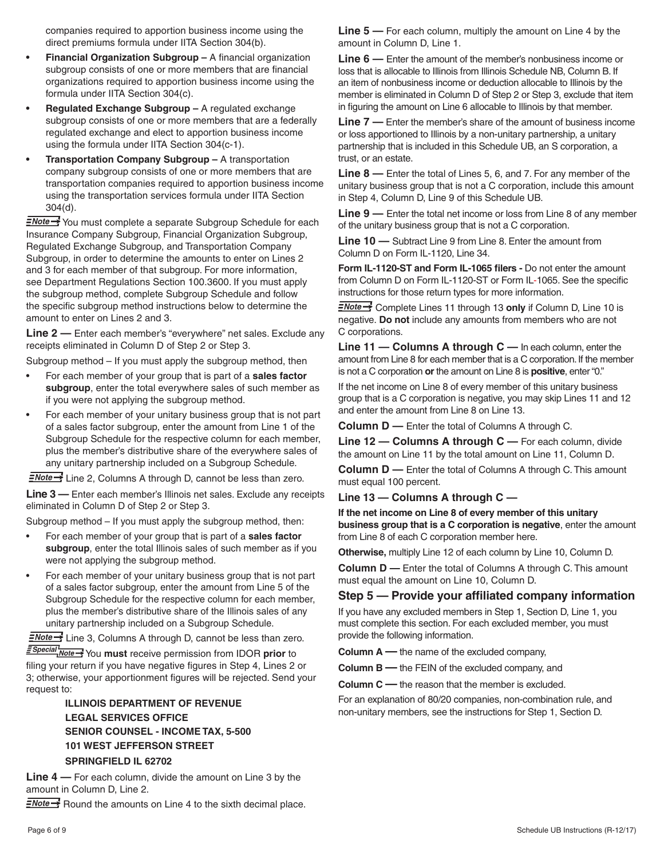companies required to apportion business income using the direct premiums formula under IITA Section 304(b).

- **Financial Organization Subgroup A financial organization** subgroup consists of one or more members that are financial organizations required to apportion business income using the formula under IITA Section 304(c).
- **Regulated Exchange Subgroup A regulated exchange** subgroup consists of one or more members that are a federally regulated exchange and elect to apportion business income using the formula under IITA Section 304(c-1).
- **Transportation Company Subgroup A transportation** company subgroup consists of one or more members that are transportation companies required to apportion business income using the transportation services formula under IITA Section 304(d).

**ENote** You must complete a separate Subgroup Schedule for each Insurance Company Subgroup, Financial Organization Subgroup, Regulated Exchange Subgroup, and Transportation Company Subgroup, in order to determine the amounts to enter on Lines 2 and 3 for each member of that subgroup. For more information, see Department Regulations Section 100.3600. If you must apply the subgroup method, complete Subgroup Schedule and follow the specific subgroup method instructions below to determine the amount to enter on Lines 2 and 3.

**Line 2 —** Enter each member's "everywhere" net sales. Exclude any receipts eliminated in Column D of Step 2 or Step 3.

Subgroup method – If you must apply the subgroup method, then

- For each member of your group that is part of a **sales factor subgroup**, enter the total everywhere sales of such member as if you were not applying the subgroup method.
- For each member of your unitary business group that is not part of a sales factor subgroup, enter the amount from Line 1 of the Subgroup Schedule for the respective column for each member, plus the member's distributive share of the everywhere sales of any unitary partnership included on a Subgroup Schedule.

 $\frac{N}{2}$  Line 2, Columns A through D, cannot be less than zero.

**Line 3 —** Enter each member's Illinois net sales. Exclude any receipts eliminated in Column D of Step 2 or Step 3.

Subgroup method – If you must apply the subgroup method, then:

- For each member of your group that is part of a **sales factor subgroup**, enter the total Illinois sales of such member as if you were not applying the subgroup method.
- For each member of your unitary business group that is not part of a sales factor subgroup, enter the amount from Line 5 of the Subgroup Schedule for the respective column for each member, plus the member's distributive share of the Illinois sales of any unitary partnership included on a Subgroup Schedule.

 $\frac{1}{2}$  Line 3, Columns A through D, cannot be less than zero.

 You **must** receive permission from IDOR **prior** to filing your return if you have negative figures in Step 4, Lines 2 or 3; otherwise, your apportionment figures will be rejected. Send your request to:

# **ILLINOIS DEPARTMENT OF REVENUE LEGAL SERVICES OFFICE SENIOR COUNSEL - INCOME TAX, 5-500 101 WEST JEFFERSON STREET**

#### **SPRINGFIELD IL 62702**

**Line 4 —** For each column, divide the amount on Line 3 by the amount in Column D, Line 2.

 $\frac{2\text{Note}}{2}$  Round the amounts on Line 4 to the sixth decimal place.

**Line 5 —** For each column, multiply the amount on Line 4 by the amount in Column D, Line 1.

**Line 6 —** Enter the amount of the member's nonbusiness income or loss that is allocable to Illinois from Illinois Schedule NB, Column B. If an item of nonbusiness income or deduction allocable to Illinois by the member is eliminated in Column D of Step 2 or Step 3, exclude that item in figuring the amount on Line 6 allocable to Illinois by that member.

**Line 7 —** Enter the member's share of the amount of business income or loss apportioned to Illinois by a non-unitary partnership, a unitary partnership that is included in this Schedule UB, an S corporation, a trust, or an estate.

**Line 8 —** Enter the total of Lines 5, 6, and 7. For any member of the unitary business group that is not a C corporation, include this amount in Step 4, Column D, Line 9 of this Schedule UB.

**Line 9 —** Enter the total net income or loss from Line 8 of any member of the unitary business group that is not a C corporation.

**Line 10 —** Subtract Line 9 from Line 8. Enter the amount from Column D on Form IL-1120, Line 34.

**Form IL-1120-ST and Form IL-1065 filers -** Do not enter the amount from Column D on Form IL-1120-ST or Form IL-1065. See the specific instructions for those return types for more information.

**ENote >>** Complete Lines 11 through 13 only if Column D, Line 10 is negative. **Do not** include any amounts from members who are not C corporations.

**Line 11 — Columns A through C —** In each column, enter the amount from Line 8 for each member that is a C corporation. If the member is not a C corporation **or** the amount on Line 8 is **positive**, enter "0."

If the net income on Line 8 of every member of this unitary business group that is a C corporation is negative, you may skip Lines 11 and 12 and enter the amount from Line 8 on Line 13.

**Column D —** Enter the total of Columns A through C.

**Line 12 — Columns A through C —** For each column, divide the amount on Line 11 by the total amount on Line 11, Column D.

**Column D** — Enter the total of Columns A through C. This amount must equal 100 percent.

**Line 13 — Columns A through C —**

**If the net income on Line 8 of every member of this unitary business group that is a C corporation is negative**, enter the amount from Line 8 of each C corporation member here.

**Otherwise,** multiply Line 12 of each column by Line 10, Column D.

**Column D —** Enter the total of Columns A through C. This amount must equal the amount on Line 10, Column D.

#### **Step 5 — Provide your affiliated company information**

If you have any excluded members in Step 1, Section D, Line 1, you must complete this section. For each excluded member, you must provide the following information.

**Column A —** the name of the excluded company,

**Column B —** the FEIN of the excluded company, and

**Column C —** the reason that the member is excluded.

For an explanation of 80/20 companies, non-combination rule, and non-unitary members, see the instructions for Step 1, Section D.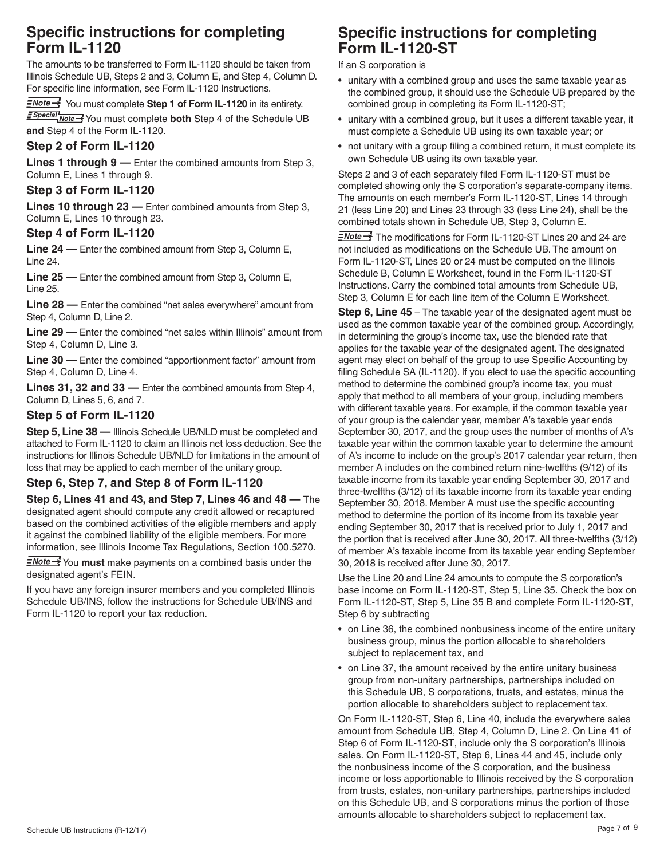# **Specific instructions for completing Form IL-1120**

The amounts to be transferred to Form IL-1120 should be taken from Illinois Schedule UB, Steps 2 and 3, Column E, and Step 4, Column D. For specific line information, see Form IL-1120 Instructions.

#### **ENote >>>** You must complete Step 1 of Form IL-1120 in its entirety.

 You must complete **both** Step 4 of the Schedule UB **and** Step 4 of the Form IL-1120.

# **Step 2 of Form IL-1120**

**Lines 1 through 9 —** Enter the combined amounts from Step 3, Column E, Lines 1 through 9.

# **Step 3 of Form IL-1120**

**Lines 10 through 23 —** Enter combined amounts from Step 3, Column E, Lines 10 through 23.

### **Step 4 of Form IL-1120**

**Line 24 —** Enter the combined amount from Step 3, Column E, Line 24.

**Line 25 —** Enter the combined amount from Step 3, Column E, Line 25.

**Line 28 —** Enter the combined "net sales everywhere" amount from Step 4, Column D, Line 2.

**Line 29 —** Enter the combined "net sales within Illinois" amount from Step 4, Column D, Line 3.

**Line 30 —** Enter the combined "apportionment factor" amount from Step 4, Column D, Line 4.

**Lines 31, 32 and 33 —** Enter the combined amounts from Step 4, Column D, Lines 5, 6, and 7.

# **Step 5 of Form IL-1120**

**Step 5, Line 38 — Illinois Schedule UB/NLD must be completed and** attached to Form IL-1120 to claim an Illinois net loss deduction. See the instructions for Illinois Schedule UB/NLD for limitations in the amount of loss that may be applied to each member of the unitary group.

# **Step 6, Step 7, and Step 8 of Form IL-1120**

**Step 6, Lines 41 and 43, and Step 7, Lines 46 and 48 —** The designated agent should compute any credit allowed or recaptured based on the combined activities of the eligible members and apply it against the combined liability of the eligible members. For more information, see Illinois Income Tax Regulations, Section 100.5270.

**ENote** You must make payments on a combined basis under the designated agent's FEIN.

If you have any foreign insurer members and you completed Illinois Schedule UB/INS, follow the instructions for Schedule UB/INS and Form IL-1120 to report your tax reduction.

# **Specific instructions for completing Form IL-1120-ST**

If an S corporation is

- unitary with a combined group and uses the same taxable year as the combined group, it should use the Schedule UB prepared by the combined group in completing its Form IL-1120-ST;
- unitary with a combined group, but it uses a different taxable year, it must complete a Schedule UB using its own taxable year; or
- not unitary with a group filing a combined return, it must complete its own Schedule UB using its own taxable year.

Steps 2 and 3 of each separately filed Form IL-1120-ST must be completed showing only the S corporation's separate-company items. The amounts on each member's Form IL-1120-ST, Lines 14 through 21 (less Line 20) and Lines 23 through 33 (less Line 24), shall be the combined totals shown in Schedule UB, Step 3, Column E.

*<u>=Note →</u>* The modifications for Form IL-1120-ST Lines 20 and 24 are not included as modifications on the Schedule UB. The amount on Form IL-1120-ST, Lines 20 or 24 must be computed on the Illinois Schedule B, Column E Worksheet, found in the Form IL-1120-ST Instructions. Carry the combined total amounts from Schedule UB, Step 3, Column E for each line item of the Column E Worksheet.

**Step 6, Line 45** – The taxable year of the designated agent must be used as the common taxable year of the combined group. Accordingly, in determining the group's income tax, use the blended rate that applies for the taxable year of the designated agent. The designated agent may elect on behalf of the group to use Specific Accounting by filing Schedule SA (IL-1120). If you elect to use the specific accounting method to determine the combined group's income tax, you must apply that method to all members of your group, including members with different taxable years. For example, if the common taxable year of your group is the calendar year, member A's taxable year ends September 30, 2017, and the group uses the number of months of A's taxable year within the common taxable year to determine the amount of A's income to include on the group's 2017 calendar year return, then member A includes on the combined return nine-twelfths (9/12) of its taxable income from its taxable year ending September 30, 2017 and three-twelfths (3/12) of its taxable income from its taxable year ending September 30, 2018. Member A must use the specific accounting method to determine the portion of its income from its taxable year ending September 30, 2017 that is received prior to July 1, 2017 and the portion that is received after June 30, 2017. All three-twelfths (3/12) of member A's taxable income from its taxable year ending September 30, 2018 is received after June 30, 2017.

Use the Line 20 and Line 24 amounts to compute the S corporation's base income on Form IL-1120-ST, Step 5, Line 35. Check the box on Form IL-1120-ST, Step 5, Line 35 B and complete Form IL-1120-ST, Step 6 by subtracting

- on Line 36, the combined nonbusiness income of the entire unitary business group, minus the portion allocable to shareholders subject to replacement tax, and
- on Line 37, the amount received by the entire unitary business group from non-unitary partnerships, partnerships included on this Schedule UB, S corporations, trusts, and estates, minus the portion allocable to shareholders subject to replacement tax.

On Form IL-1120-ST, Step 6, Line 40, include the everywhere sales amount from Schedule UB, Step 4, Column D, Line 2. On Line 41 of Step 6 of Form IL-1120-ST, include only the S corporation's Illinois sales. On Form IL-1120-ST, Step 6, Lines 44 and 45, include only the nonbusiness income of the S corporation, and the business income or loss apportionable to Illinois received by the S corporation from trusts, estates, non-unitary partnerships, partnerships included on this Schedule UB, and S corporations minus the portion of those amounts allocable to shareholders subject to replacement tax.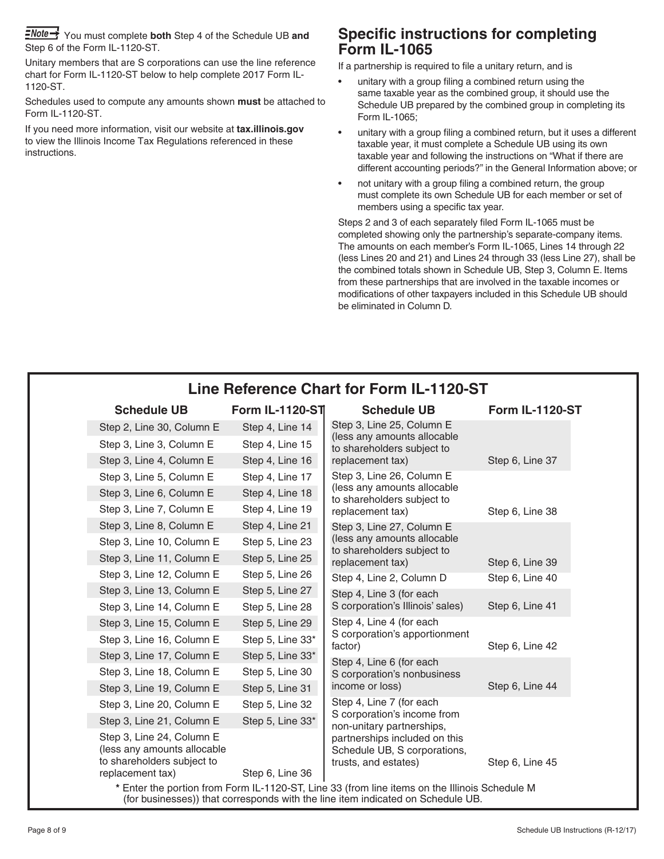You must complete **both** Step 4 of the Schedule UB **and** Step 6 of the Form IL-1120-ST.

Unitary members that are S corporations can use the line reference chart for Form IL-1120-ST below to help complete 2017 Form IL-1120-ST.

Schedules used to compute any amounts shown **must** be attached to Form IL-1120-ST.

If you need more information, visit our website at **tax.illinois.gov** to view the Illinois Income Tax Regulations referenced in these instructions.

# **Specific instructions for completing Form IL-1065**

If a partnership is required to file a unitary return, and is

- unitary with a group filing a combined return using the same taxable year as the combined group, it should use the Schedule UB prepared by the combined group in completing its Form IL-1065;
- unitary with a group filing a combined return, but it uses a different taxable year, it must complete a Schedule UB using its own taxable year and following the instructions on "What if there are different accounting periods?" in the General Information above; or
- not unitary with a group filing a combined return, the group must complete its own Schedule UB for each member or set of members using a specific tax year.

Steps 2 and 3 of each separately filed Form IL-1065 must be completed showing only the partnership's separate-company items. The amounts on each member's Form IL-1065, Lines 14 through 22 (less Lines 20 and 21) and Lines 24 through 33 (less Line 27), shall be the combined totals shown in Schedule UB, Step 3, Column E. Items from these partnerships that are involved in the taxable incomes or modifications of other taxpayers included in this Schedule UB should be eliminated in Column D.

|                                                                                                                                                                                  | <b>Schedule UB</b>                                                                                         | <b>Form IL-1120-ST</b> | <b>Schedule UB</b>                                                                     | <b>Form IL-1120-ST</b> |
|----------------------------------------------------------------------------------------------------------------------------------------------------------------------------------|------------------------------------------------------------------------------------------------------------|------------------------|----------------------------------------------------------------------------------------|------------------------|
|                                                                                                                                                                                  | Step 2, Line 30, Column E                                                                                  | Step 4, Line 14        | Step 3, Line 25, Column E<br>(less any amounts allocable<br>to shareholders subject to |                        |
|                                                                                                                                                                                  | Step 3, Line 3, Column E                                                                                   | Step 4, Line 15        |                                                                                        |                        |
|                                                                                                                                                                                  | Step 3, Line 4, Column E                                                                                   | Step 4, Line 16        | replacement tax)                                                                       | Step 6, Line 37        |
|                                                                                                                                                                                  | Step 3, Line 5, Column E                                                                                   | Step 4, Line 17        | Step 3, Line 26, Column E                                                              |                        |
|                                                                                                                                                                                  | Step 3, Line 6, Column E                                                                                   | Step 4, Line 18        | (less any amounts allocable<br>to shareholders subject to                              |                        |
|                                                                                                                                                                                  | Step 3, Line 7, Column E                                                                                   | Step 4, Line 19        | replacement tax)                                                                       | Step 6, Line 38        |
|                                                                                                                                                                                  | Step 3, Line 8, Column E                                                                                   | Step 4, Line 21        | Step 3, Line 27, Column E                                                              |                        |
|                                                                                                                                                                                  | Step 3, Line 10, Column E                                                                                  | Step 5, Line 23        | (less any amounts allocable<br>to shareholders subject to<br>replacement tax)          |                        |
|                                                                                                                                                                                  | Step 3, Line 11, Column E                                                                                  | Step 5, Line 25        |                                                                                        | Step 6, Line 39        |
|                                                                                                                                                                                  | Step 3, Line 12, Column E                                                                                  | Step 5, Line 26        | Step 4, Line 2, Column D                                                               | Step 6, Line 40        |
|                                                                                                                                                                                  | Step 3, Line 13, Column E                                                                                  | Step 5, Line 27        | Step 4, Line 3 (for each                                                               |                        |
|                                                                                                                                                                                  | Step 3, Line 14, Column E                                                                                  | Step 5, Line 28        | S corporation's Illinois' sales)                                                       | Step 6, Line 41        |
|                                                                                                                                                                                  | Step 3, Line 15, Column E                                                                                  | Step 5, Line 29        | Step 4, Line 4 (for each<br>S corporation's apportionment<br>factor)                   |                        |
|                                                                                                                                                                                  | Step 3, Line 16, Column E                                                                                  | Step 5, Line 33*       |                                                                                        | Step 6, Line 42        |
|                                                                                                                                                                                  | Step 3, Line 17, Column E                                                                                  | Step 5, Line 33*       | Step 4, Line 6 (for each                                                               |                        |
|                                                                                                                                                                                  | Step 3, Line 18, Column E                                                                                  | Step 5, Line 30        | S corporation's nonbusiness<br>income or loss)                                         |                        |
|                                                                                                                                                                                  | Step 3, Line 19, Column E                                                                                  | Step 5, Line 31        |                                                                                        | Step 6, Line 44        |
|                                                                                                                                                                                  | Step 3, Line 20, Column E                                                                                  | Step 5, Line 32        | Step 4, Line 7 (for each<br>S corporation's income from<br>non-unitary partnerships,   |                        |
|                                                                                                                                                                                  | Step 3, Line 21, Column E                                                                                  | Step 5, Line 33*       |                                                                                        |                        |
|                                                                                                                                                                                  | Step 3, Line 24, Column E<br>(less any amounts allocable<br>to shareholders subject to<br>replacement tax) | Step 6, Line 36        | partnerships included on this<br>Schedule UB, S corporations,<br>trusts, and estates)  | Step 6, Line 45        |
| * Enter the portion from Form IL-1120-ST, Line 33 (from line items on the Illinois Schedule M<br>(for businesses)) that corresponds with the line item indicated on Schedule UB. |                                                                                                            |                        |                                                                                        |                        |

# **Line Reference Chart for Form IL-1120-ST**